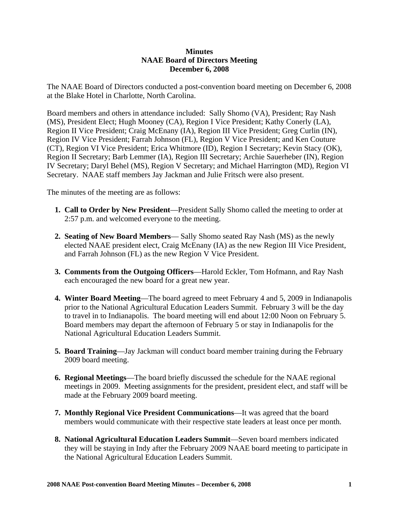## **Minutes NAAE Board of Directors Meeting December 6, 2008**

The NAAE Board of Directors conducted a post-convention board meeting on December 6, 2008 at the Blake Hotel in Charlotte, North Carolina.

Board members and others in attendance included: Sally Shomo (VA), President; Ray Nash (MS), President Elect; Hugh Mooney (CA), Region I Vice President; Kathy Conerly (LA), Region II Vice President; Craig McEnany (IA), Region III Vice President; Greg Curlin (IN), Region IV Vice President; Farrah Johnson (FL), Region V Vice President; and Ken Couture (CT), Region VI Vice President; Erica Whitmore (ID), Region I Secretary; Kevin Stacy (OK), Region II Secretary; Barb Lemmer (IA), Region III Secretary; Archie Sauerheber (IN), Region IV Secretary; Daryl Behel (MS), Region V Secretary; and Michael Harrington (MD), Region VI Secretary. NAAE staff members Jay Jackman and Julie Fritsch were also present.

The minutes of the meeting are as follows:

- **1. Call to Order by New President**—President Sally Shomo called the meeting to order at 2:57 p.m. and welcomed everyone to the meeting.
- **2. Seating of New Board Members** Sally Shomo seated Ray Nash (MS) as the newly elected NAAE president elect, Craig McEnany (IA) as the new Region III Vice President, and Farrah Johnson (FL) as the new Region V Vice President.
- **3. Comments from the Outgoing Officers**—Harold Eckler, Tom Hofmann, and Ray Nash each encouraged the new board for a great new year.
- **4. Winter Board Meeting**—The board agreed to meet February 4 and 5, 2009 in Indianapolis prior to the National Agricultural Education Leaders Summit. February 3 will be the day to travel in to Indianapolis. The board meeting will end about 12:00 Noon on February 5. Board members may depart the afternoon of February 5 or stay in Indianapolis for the National Agricultural Education Leaders Summit.
- **5. Board Training**—Jay Jackman will conduct board member training during the February 2009 board meeting.
- **6. Regional Meetings**—The board briefly discussed the schedule for the NAAE regional meetings in 2009. Meeting assignments for the president, president elect, and staff will be made at the February 2009 board meeting.
- **7. Monthly Regional Vice President Communications**—It was agreed that the board members would communicate with their respective state leaders at least once per month.
- **8. National Agricultural Education Leaders Summit**—Seven board members indicated they will be staying in Indy after the February 2009 NAAE board meeting to participate in the National Agricultural Education Leaders Summit.